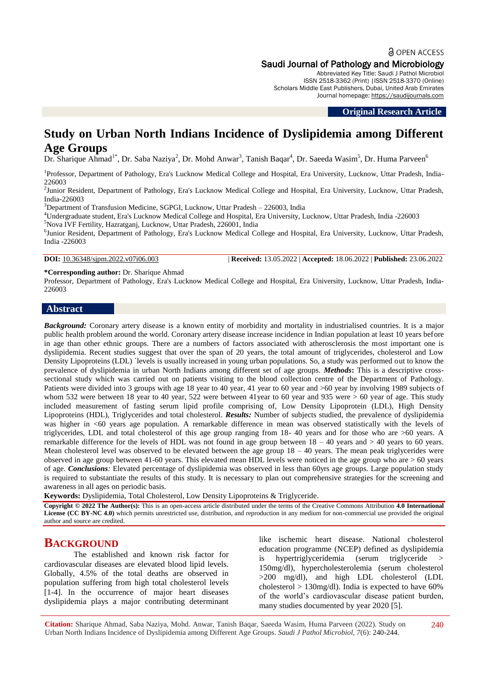# a OPEN ACCESS Saudi Journal of Pathology and Microbiology

Abbreviated Key Title: Saudi J Pathol Microbiol ISSN 2518-3362 (Print) |ISSN 2518-3370 (Online) Scholars Middle East Publishers, Dubai, United Arab Emirates Journal homepage: [https://saudijournals.com](https://saudijournals.com/sjpm)

#### **Original Research Article**

# **Study on Urban North Indians Incidence of Dyslipidemia among Different Age Groups**

Dr. Sharique Ahmad<sup>1\*</sup>, Dr. Saba Naziya<sup>2</sup>, Dr. Mohd Anwar<sup>3</sup>, Tanish Baqar<sup>4</sup>, Dr. Saeeda Wasim<sup>5</sup>, Dr. Huma Parveen<sup>6</sup>

<sup>1</sup>Professor, Department of Pathology, Era's Lucknow Medical College and Hospital, Era University, Lucknow, Uttar Pradesh, India-226003

<sup>2</sup>Junior Resident, Department of Pathology, Era's Lucknow Medical College and Hospital, Era University, Lucknow, Uttar Pradesh, India-226003

<sup>3</sup>Department of Transfusion Medicine, SGPGI, Lucknow, Uttar Pradesh - 226003, India

<sup>4</sup>Undergraduate student, Era's Lucknow Medical College and Hospital, Era University, Lucknow, Uttar Pradesh, India -226003 <sup>5</sup>Nova IVF Fertility, Hazratganj, Lucknow, Uttar Pradesh, 226001, India

<sup>6</sup>Junior Resident, Department of Pathology, Era's Lucknow Medical College and Hospital, Era University, Lucknow, Uttar Pradesh, India -226003

**DOI:** 10.36348/sjpm.2022.v07i06.003 | **Received:** 13.05.2022 | **Accepted:** 18.06.2022 | **Published:** 23.06.2022

#### **\*Corresponding author:** Dr. Sharique Ahmad

Professor, Department of Pathology, Era's Lucknow Medical College and Hospital, Era University, Lucknow, Uttar Pradesh, India-226003

#### **Abstract**

*Background:* Coronary artery disease is a known entity of morbidity and mortality in industrialised countries. It is a major public health problem around the world. Coronary artery disease increase incidence in Indian population at least 10 years before in age than other ethnic groups. There are a numbers of factors associated with atherosclerosis the most important one is dyslipidemia. Recent studies suggest that over the span of 20 years, the total amount of triglycerides, cholesterol and Low Density Lipoproteins (LDL) `levels is usually increased in young urban populations. So, a study was performed out to know the prevalence of dyslipidemia in urban North Indians among different set of age groups. *Methods***:** This is a descriptive crosssectional study which was carried out on patients visiting to the blood collection centre of the Department of Pathology. Patients were divided into 3 groups with age 18 year to 40 year, 41 year to 60 year and >60 year by involving 1989 subjects of whom 532 were between 18 year to 40 year, 522 were between 41year to 60 year and 935 were  $> 60$  year of age. This study included measurement of fasting serum lipid profile comprising of, Low Density Lipoprotein (LDL), High Density Lipoproteins (HDL), Triglycerides and total cholesterol. *Results:* Number of subjects studied, the prevalence of dyslipidemia was higher in <60 years age population. A remarkable difference in mean was observed statistically with the levels of triglycerides, LDL and total cholesterol of this age group ranging from 18- 40 years and for those who are >60 years. A remarkable difference for the levels of HDL was not found in age group between 18 – 40 years and > 40 years to 60 years. Mean cholesterol level was observed to be elevated between the age group  $18 - 40$  years. The mean peak triglycerides were observed in age group between 41-60 years. This elevated mean HDL levels were noticed in the age group who are  $> 60$  years of age. *Conclusions:* Elevated percentage of dyslipidemia was observed in less than 60yrs age groups. Large population study is required to substantiate the results of this study. It is necessary to plan out comprehensive strategies for the screening and awareness in all ages on periodic basis.

**Keywords:** Dyslipidemia, Total Cholesterol, Low Density Lipoproteins & Triglyceride.

**Copyright © 2022 The Author(s):** This is an open-access article distributed under the terms of the Creative Commons Attribution **4.0 International License (CC BY-NC 4.0)** which permits unrestricted use, distribution, and reproduction in any medium for non-commercial use provided the original author and source are credited.

## **BACKGROUND**

The established and known risk factor for cardiovascular diseases are elevated blood lipid levels. Globally, 4.5% of the total deaths are observed in population suffering from high total cholesterol levels [1-4]. In the occurrence of major heart diseases dyslipidemia plays a major contributing determinant

like ischemic heart disease. National cholesterol education programme (NCEP) defined as dyslipidemia is hypertriglyceridemia (serum triglyceride > 150mg/dl), hypercholesterolemia (serum cholesterol >200 mg/dl), and high LDL cholesterol (LDL cholesterol  $> 130$ mg/dl). India is expected to have 60% of the world's cardiovascular disease patient burden, many studies documented by year 2020 [5].

**Citation:** Sharique Ahmad, Saba Naziya, Mohd. Anwar, Tanish Baqar, Saeeda Wasim, Huma Parveen (2022). Study on Urban North Indians Incidence of Dyslipidemia among Different Age Groups. *Saudi J Pathol Microbiol, 7*(6): 240-244.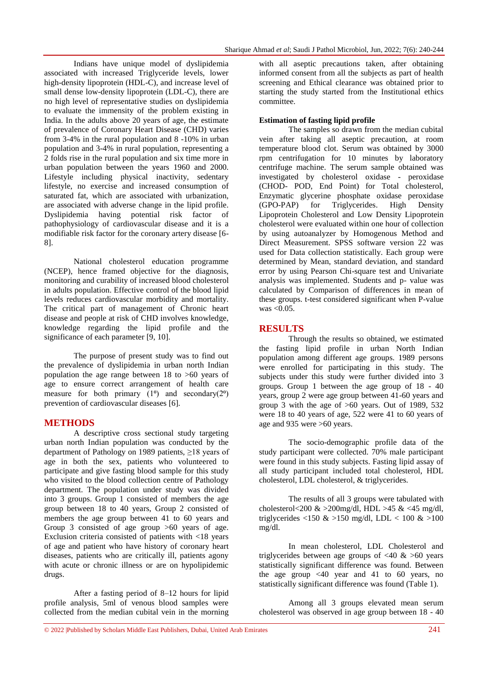Indians have unique model of dyslipidemia associated with increased Triglyceride levels, lower high-density lipoprotein (HDL-C), and increase level of small dense low-density lipoprotein (LDL-C), there are no high level of representative studies on dyslipidemia to evaluate the immensity of the problem existing in India. In the adults above 20 years of age, the estimate of prevalence of Coronary Heart Disease (CHD) varies from 3-4% in the rural population and 8 -10% in urban population and 3-4% in rural population, representing a 2 folds rise in the rural population and six time more in urban population between the years 1960 and 2000. Lifestyle including physical inactivity, sedentary lifestyle, no exercise and increased consumption of saturated fat, which are associated with urbanization, are associated with adverse change in the lipid profile. Dyslipidemia having potential risk factor of pathophysiology of cardiovascular disease and it is a modifiable risk factor for the coronary artery disease [6- 8].

National cholesterol education programme (NCEP), hence framed objective for the diagnosis, monitoring and curability of increased blood cholesterol in adults population. Effective control of the blood lipid levels reduces cardiovascular morbidity and mortality. The critical part of management of Chronic heart disease and people at risk of CHD involves knowledge, knowledge regarding the lipid profile and the significance of each parameter [9, 10].

The purpose of present study was to find out the prevalence of dyslipidemia in urban north Indian population the age range between 18 to  $>60$  years of age to ensure correct arrangement of health care measure for both primary  $(1^{\circ})$  and secondary $(2^{\circ})$ prevention of cardiovascular diseases [6].

## **METHODS**

A descriptive cross sectional study targeting urban north Indian population was conducted by the department of Pathology on 1989 patients, ≥18 years of age in both the sex, patients who volunteered to participate and give fasting blood sample for this study who visited to the blood collection centre of Pathology department. The population under study was divided into 3 groups. Group 1 consisted of members the age group between 18 to 40 years, Group 2 consisted of members the age group between 41 to 60 years and Group 3 consisted of age group >60 years of age. Exclusion criteria consisted of patients with <18 years of age and patient who have history of coronary heart diseases, patients who are critically ill, patients agony with acute or chronic illness or are on hypolipidemic drugs.

After a fasting period of 8–12 hours for lipid profile analysis, 5ml of venous blood samples were collected from the median cubital vein in the morning

with all aseptic precautions taken, after obtaining informed consent from all the subjects as part of health screening and Ethical clearance was obtained prior to starting the study started from the Institutional ethics committee.

#### **Estimation of fasting lipid profile**

The samples so drawn from the median cubital vein after taking all aseptic precaution, at room temperature blood clot. Serum was obtained by 3000 rpm centrifugation for 10 minutes by laboratory centrifuge machine. The serum sample obtained was investigated by cholesterol oxidase - peroxidase (CHOD- POD, End Point) for Total cholesterol, Enzymatic glycerine phosphate oxidase peroxidase (GPO-PAP) for Triglycerides. High Density Lipoprotein Cholesterol and Low Density Lipoprotein cholesterol were evaluated within one hour of collection by using autoanalyzer by Homogenous Method and Direct Measurement. SPSS software version 22 was used for Data collection statistically. Each group were determined by Mean, standard deviation, and standard error by using Pearson Chi-square test and Univariate analysis was implemented. Students and p- value was calculated by Comparison of differences in mean of these groups. t-test considered significant when P-value was <0.05.

#### **RESULTS**

Through the results so obtained, we estimated the fasting lipid profile in urban North Indian population among different age groups. 1989 persons were enrolled for participating in this study. The subjects under this study were further divided into 3 groups. Group 1 between the age group of 18 - 40 years, group 2 were age group between 41-60 years and group 3 with the age of  $>60$  years. Out of 1989, 532 were 18 to 40 years of age, 522 were 41 to 60 years of age and 935 were >60 years.

The socio-demographic profile data of the study participant were collected. 70% male participant were found in this study subjects. Fasting lipid assay of all study participant included total cholesterol, HDL cholesterol, LDL cholesterol, & triglycerides.

The results of all 3 groups were tabulated with cholesterol<200  $\&$  >200mg/dl, HDL >45  $\&$  <45 mg/dl, triglycerides <150  $\&$  >150 mg/dl, LDL < 100  $\&$  >100 mg/dl.

In mean cholesterol, LDL Cholesterol and triglycerides between age groups of  $\langle 40 \& 560 \rangle$  years statistically significant difference was found. Between the age group  $\leq 40$  year and 41 to 60 years, no statistically significant difference was found (Table 1).

Among all 3 groups elevated mean serum cholesterol was observed in age group between 18 - 40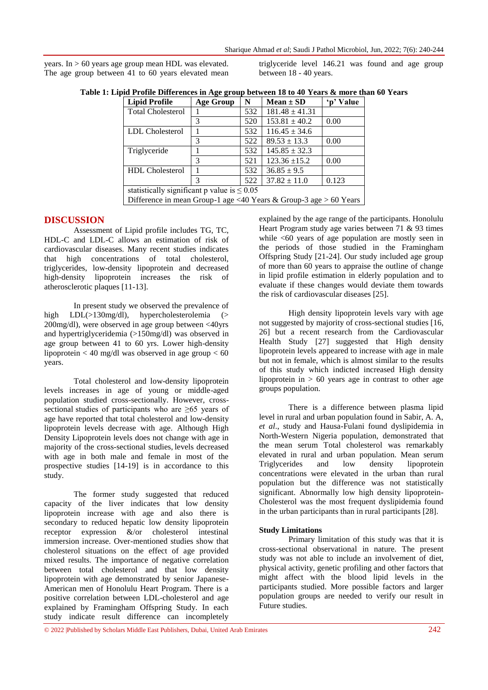years. In > 60 years age group mean HDL was elevated. The age group between 41 to 60 years elevated mean triglyceride level 146.21 was found and age group between 18 - 40 years.

| Table 1: Lipid Profile Differences in Age group between 18 to 40 Years & more than 60 Years |  |  |  |
|---------------------------------------------------------------------------------------------|--|--|--|
|                                                                                             |  |  |  |

| <b>Lipid Profile</b>                                              | <b>Age Group</b> | N   | $Mean \pm SD$      | 'n' Value |  |  |  |
|-------------------------------------------------------------------|------------------|-----|--------------------|-----------|--|--|--|
| <b>Total Cholesterol</b>                                          |                  | 532 | $181.48 \pm 41.31$ |           |  |  |  |
|                                                                   | 3                | 520 | $153.81 \pm 40.2$  | 0.00      |  |  |  |
| LDL Cholesterol                                                   |                  | 532 | $116.45 \pm 34.6$  |           |  |  |  |
|                                                                   | 3                | 522 | $89.53 \pm 13.3$   | 0.00      |  |  |  |
| Triglyceride                                                      |                  | 532 | $145.85 \pm 32.3$  |           |  |  |  |
|                                                                   | 3                | 521 | $123.36 \pm 15.2$  | 0.00      |  |  |  |
| <b>HDL</b> Cholesterol                                            |                  | 532 | $36.85 \pm 9.5$    |           |  |  |  |
|                                                                   | 3                | 522 | $37.82 \pm 11.0$   | 0.123     |  |  |  |
| statistically significant p value is $\leq 0.05$                  |                  |     |                    |           |  |  |  |
| Difference in mean Group-1 age <40 Years & Group-3 age > 60 Years |                  |     |                    |           |  |  |  |

#### **DISCUSSION**

Assessment of Lipid profile includes TG, TC, HDL-C and LDL-C allows an estimation of risk of cardiovascular diseases. Many recent studies indicates that high concentrations of total cholesterol, triglycerides, low-density lipoprotein and decreased high-density lipoprotein increases the risk of atherosclerotic plaques [11-13].

In present study we observed the prevalence of high LDL(>130mg/dl), hypercholesterolemia (> 200mg/dl), were observed in age group between <40yrs and hypertriglyceridemia (>150mg/dl) was observed in age group between 41 to 60 yrs. Lower high-density lipoprotein < 40 mg/dl was observed in age group < 60 years.

Total cholesterol and low-density lipoprotein levels increases in age of young or middle-aged population studied cross-sectionally. However, crosssectional studies of participants who are >65 years of age have reported that total cholesterol and low-density lipoprotein levels decrease with age. Although High Density Lipoprotein levels does not change with age in majority of the cross-sectional studies, levels decreased with age in both male and female in most of the prospective studies [14-19] is in accordance to this study.

The former study suggested that reduced capacity of the liver indicates that low density lipoprotein increase with age and also there is secondary to reduced hepatic low density lipoprotein receptor expression &/or cholesterol intestinal immersion increase. Over-mentioned studies show that cholesterol situations on the effect of age provided mixed results. The importance of negative correlation between total cholesterol and that low density lipoprotein with age demonstrated by senior Japanese-American men of Honolulu Heart Program. There is a positive correlation between LDL-cholesterol and age explained by Framingham Offspring Study. In each study indicate result difference can incompletely

explained by the age range of the participants. Honolulu Heart Program study age varies between 71 & 93 times while  $\leq 60$  years of age population are mostly seen in the periods of those studied in the Framingham Offspring Study [21-24]. Our study included age group of more than 60 years to appraise the outline of change in lipid profile estimation in elderly population and to evaluate if these changes would deviate them towards the risk of cardiovascular diseases [25].

High density lipoprotein levels vary with age not suggested by majority of cross-sectional studies [16, 26] but a recent research from the Cardiovascular Health Study [27] suggested that High density lipoprotein levels appeared to increase with age in male but not in female, which is almost similar to the results of this study which indicted increased High density lipoprotein in  $> 60$  years age in contrast to other age groups population.

There is a difference between plasma lipid level in rural and urban population found in Sabir, A. A, *et al*., study and Hausa-Fulani found dyslipidemia in North-Western Nigeria population, demonstrated that the mean serum Total cholesterol was remarkably elevated in rural and urban population. Mean serum Triglycerides and low density lipoprotein concentrations were elevated in the urban than rural population but the difference was not statistically significant. Abnormally low high density lipoprotein-Cholesterol was the most frequent dyslipidemia found in the urban participants than in rural participants [28].

#### **Study Limitations**

Primary limitation of this study was that it is cross-sectional observational in nature. The present study was not able to include an involvement of diet, physical activity, genetic profiling and other factors that might affect with the blood lipid levels in the participants studied. More possible factors and larger population groups are needed to verify our result in Future studies.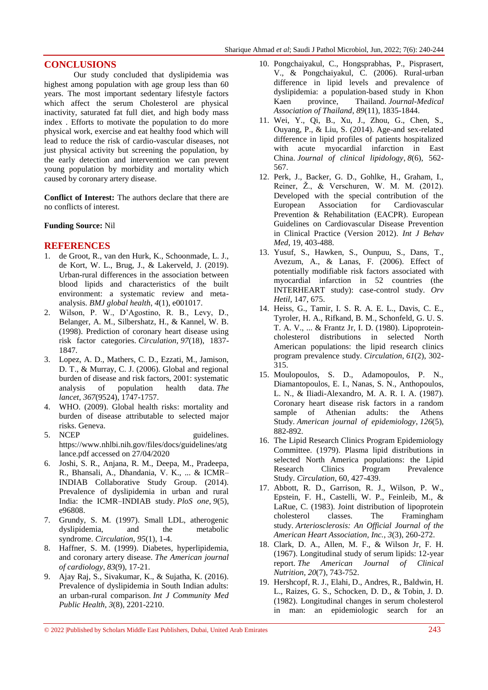#### **CONCLUSIONS**

Our study concluded that dyslipidemia was highest among population with age group less than 60 years. The most important sedentary lifestyle factors which affect the serum Cholesterol are physical inactivity, saturated fat full diet, and high body mass index . Efforts to motivate the population to do more physical work, exercise and eat healthy food which will lead to reduce the risk of cardio-vascular diseases, not just physical activity but screening the population, by the early detection and intervention we can prevent young population by morbidity and mortality which caused by coronary artery disease.

**Conflict of Interest:** The authors declare that there are no conflicts of interest.

#### **Funding Source:** Nil

#### **REFERENCES**

- 1. de Groot, R., van den Hurk, K., Schoonmade, L. J., de Kort, W. L., Brug, J., & Lakerveld, J. (2019). Urban-rural differences in the association between blood lipids and characteristics of the built environment: a systematic review and metaanalysis. *BMJ global health*, *4*(1), e001017.
- 2. Wilson, P. W., D'Agostino, R. B., Levy, D., Belanger, A. M., Silbershatz, H., & Kannel, W. B. (1998). Prediction of coronary heart disease using risk factor categories. *Circulation*, *97*(18), 1837- 1847.
- 3. Lopez, A. D., Mathers, C. D., Ezzati, M., Jamison, D. T., & Murray, C. J. (2006). Global and regional burden of disease and risk factors, 2001: systematic analysis of population health data. *The lancet*, *367*(9524), 1747-1757.
- 4. WHO. (2009). Global health risks: mortality and burden of disease attributable to selected major risks. Geneva.
- 5. NCEP guidelines. https://www.nhlbi.nih.gov/files/docs/guidelines/atg lance.pdf accessed on 27/04/2020
- 6. Joshi, S. R., Anjana, R. M., Deepa, M., Pradeepa, R., Bhansali, A., Dhandania, V. K., ... & ICMR– INDIAB Collaborative Study Group. (2014). Prevalence of dyslipidemia in urban and rural India: the ICMR–INDIAB study. *PloS one*, *9*(5), e96808.
- 7. Grundy, S. M. (1997). Small LDL, atherogenic dyslipidemia, and the metabolic syndrome. *Circulation*, *95*(1), 1-4.
- 8. Haffner, S. M. (1999). Diabetes, hyperlipidemia, and coronary artery disease. *The American journal of cardiology*, *83*(9), 17-21.
- 9. Ajay Raj, S., Sivakumar, K., & Sujatha, K. (2016). Prevalence of dyslipidemia in South Indian adults: an urban-rural comparison. *Int J Community Med Public Health*, *3*(8), 2201-2210.
- 10. Pongchaiyakul, C., Hongsprabhas, P., Pisprasert, V., & Pongchaiyakul, C. (2006). Rural-urban difference in lipid levels and prevalence of dyslipidemia: a population-based study in Khon Kaen province, Thailand. *Journal-Medical Association of Thailand*, *89*(11), 1835-1844.
- 11. Wei, Y., Qi, B., Xu, J., Zhou, G., Chen, S., Ouyang, P., & Liu, S. (2014). Age-and sex-related difference in lipid profiles of patients hospitalized with acute myocardial infarction in East China. *Journal of clinical lipidology*, *8*(6), 562- 567.
- 12. Perk, J., Backer, G. D., Gohlke, H., Graham, I., Reiner, Ž., & Verschuren, W. M. M. (2012). Developed with the special contribution of the European Association for Cardiovascular Prevention & Rehabilitation (EACPR). European Guidelines on Cardiovascular Disease Prevention in Clinical Practice (Version 2012). *Int J Behav Med*, 19, 403-488.
- 13. Yusuf, S., Hawken, S., Ounpuu, S., Dans, T., Avezum, A., & Lanas, F. (2006). Effect of potentially modifiable risk factors associated with myocardial infarction in 52 countries (the INTERHEART study): case-control study. *Orv Hetil*, 147, 675.
- 14. Heiss, G., Tamir, I. S. R. A. E. L., Davis, C. E., Tyroler, H. A., Rifkand, B. M., Schonfeld, G. U. S. T. A. V., ... & Frantz Jr, I. D. (1980). Lipoproteincholesterol distributions in selected North American populations: the lipid research clinics program prevalence study. *Circulation*, *61*(2), 302- 315.
- 15. Moulopoulos, S. D., Adamopoulos, P. N., Diamantopoulos, E. I., Nanas, S. N., Anthopoulos, L. N., & Iliadi-Alexandro, M. A. R. I. A. (1987). Coronary heart disease risk factors in a random sample of Athenian adults: the Athens Study. *American journal of epidemiology*, *126*(5), 882-892.
- 16. The Lipid Research Clinics Program Epidemiology Committee. (1979). Plasma lipid distributions in selected North America populations: the Lipid Research Clinics Program Prevalence Study. *Circulation*, 60, 427-439.
- 17. Abbott, R. D., Garrison, R. J., Wilson, P. W., Epstein, F. H., Castelli, W. P., Feinleib, M., & LaRue, C. (1983). Joint distribution of lipoprotein cholesterol classes. The Framingham study. *Arteriosclerosis: An Official Journal of the American Heart Association, Inc.*, *3*(3), 260-272.
- 18. Clark, D. A., Allen, M. F., & Wilson Jr, F. H. (1967). Longitudinal study of serum lipids: 12-year report. *The American Journal of Clinical Nutrition*, *20*(7), 743-752.
- 19. Hershcopf, R. J., Elahi, D., Andres, R., Baldwin, H. L., Raizes, G. S., Schocken, D. D., & Tobin, J. D. (1982). Longitudinal changes in serum cholesterol in man: an epidemiologic search for an

<sup>© 2022</sup> |Published by Scholars Middle East Publishers, Dubai, United Arab Emirates 243